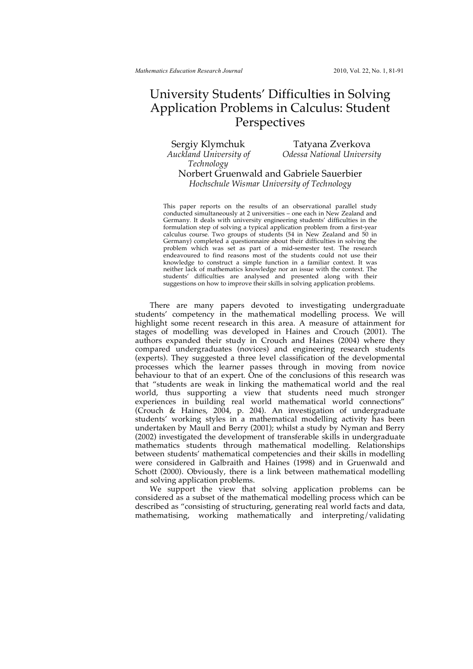## University Students' Difficulties in Solving Application Problems in Calculus: Student Perspectives

*Auckland University of Technology*

Sergiy Klymchuk Tatyana Zverkova *Odessa National University*

Norbert Gruenwald and Gabriele Sauerbier *Hochschule Wismar University of Technology*

This paper reports on the results of an observational parallel study conducted simultaneously at 2 universities – one each in New Zealand and Germany. It deals with university engineering students' difficulties in the formulation step of solving a typical application problem from a first-year calculus course. Two groups of students (54 in New Zealand and 50 in Germany) completed a questionnaire about their difficulties in solving the problem which was set as part of a mid-semester test. The research endeavoured to find reasons most of the students could not use their knowledge to construct a simple function in a familiar context. It was neither lack of mathematics knowledge nor an issue with the context. The students' difficulties are analysed and presented along with their suggestions on how to improve their skills in solving application problems.

There are many papers devoted to investigating undergraduate students' competency in the mathematical modelling process. We will highlight some recent research in this area. A measure of attainment for stages of modelling was developed in Haines and Crouch (2001). The authors expanded their study in Crouch and Haines (2004) where they compared undergraduates (novices) and engineering research students (experts). They suggested a three level classification of the developmental processes which the learner passes through in moving from novice behaviour to that of an expert. One of the conclusions of this research was that "students are weak in linking the mathematical world and the real world, thus supporting a view that students need much stronger experiences in building real world mathematical world connections" (Crouch & Haines, 2004, p. 204). An investigation of undergraduate students' working styles in a mathematical modelling activity has been undertaken by Maull and Berry (2001); whilst a study by Nyman and Berry (2002) investigated the development of transferable skills in undergraduate mathematics students through mathematical modelling. Relationships between students' mathematical competencies and their skills in modelling were considered in Galbraith and Haines (1998) and in Gruenwald and Schott (2000). Obviously, there is a link between mathematical modelling and solving application problems.

We support the view that solving application problems can be considered as a subset of the mathematical modelling process which can be described as "consisting of structuring, generating real world facts and data, mathematising, working mathematically and interpreting/validating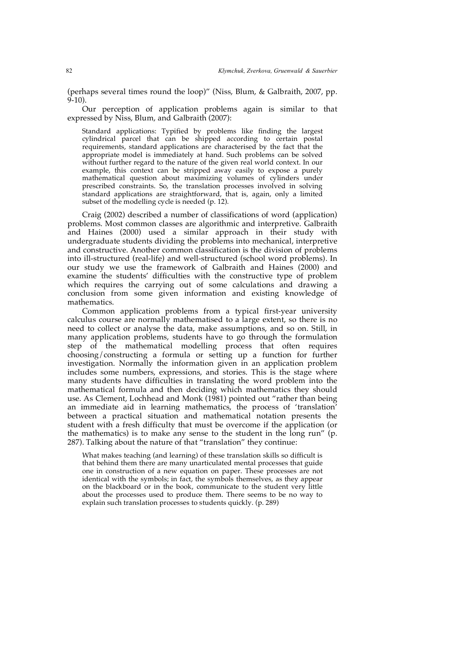(perhaps several times round the loop)" (Niss, Blum, & Galbraith, 2007, pp.  $(9-10)$ .

Our perception of application problems again is similar to that expressed by Niss, Blum, and Galbraith (2007):

Standard applications: Typified by problems like finding the largest cylindrical parcel that can be shipped according to certain postal requirements, standard applications are characterised by the fact that the appropriate model is immediately at hand. Such problems can be solved without further regard to the nature of the given real world context. In our example, this context can be stripped away easily to expose a purely mathematical question about maximizing volumes of cylinders under prescribed constraints. So, the translation processes involved in solving standard applications are straightforward, that is, again, only a limited subset of the modelling cycle is needed (p. 12).

Craig (2002) described a number of classifications of word (application) problems. Most common classes are algorithmic and interpretive. Galbraith and Haines (2000) used a similar approach in their study with undergraduate students dividing the problems into mechanical, interpretive and constructive. Another common classification is the division of problems into ill-structured (real-life) and well-structured (school word problems). In our study we use the framework of Galbraith and Haines (2000) and examine the students' difficulties with the constructive type of problem which requires the carrying out of some calculations and drawing a conclusion from some given information and existing knowledge of mathematics.

Common application problems from a typical first-year university calculus course are normally mathematised to a large extent, so there is no need to collect or analyse the data, make assumptions, and so on. Still, in many application problems, students have to go through the formulation step of the mathematical modelling process that often requires choosing/constructing a formula or setting up a function for further investigation. Normally the information given in an application problem includes some numbers, expressions, and stories. This is the stage where many students have difficulties in translating the word problem into the mathematical formula and then deciding which mathematics they should use. As Clement, Lochhead and Monk (1981) pointed out "rather than being an immediate aid in learning mathematics, the process of 'translation' between a practical situation and mathematical notation presents the student with a fresh difficulty that must be overcome if the application (or the mathematics) is to make any sense to the student in the long run" (p. 287). Talking about the nature of that "translation" they continue:

What makes teaching (and learning) of these translation skills so difficult is that behind them there are many unarticulated mental processes that guide one in construction of a new equation on paper. These processes are not identical with the symbols; in fact, the symbols themselves, as they appear on the blackboard or in the book, communicate to the student very little about the processes used to produce them. There seems to be no way to explain such translation processes to students quickly. (p. 289)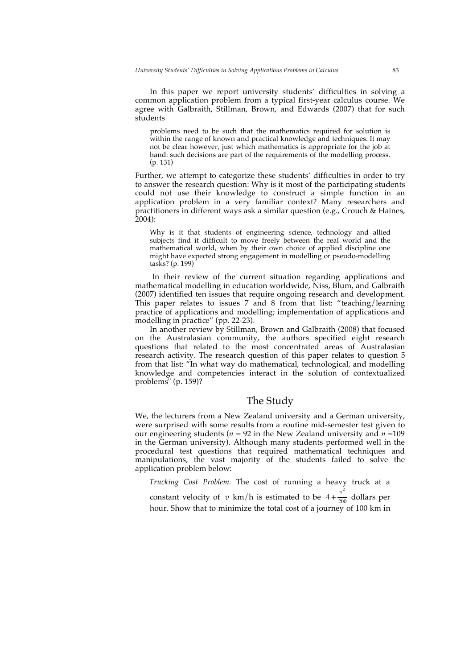In this paper we report university students' difficulties in solving a common application problem from a typical first-year calculus course. We agree with Galbraith, Stillman, Brown, and Edwards (2007) that for such students

problems need to be such that the mathematics required for solution is within the range of known and practical knowledge and techniques. It may not be clear however, just which mathematics is appropriate for the job at hand: such decisions are part of the requirements of the modelling process. (p. 131)

Further, we attempt to categorize these students' difficulties in order to try to answer the research question: Why is it most of the participating students could not use their knowledge to construct a simple function in an application problem in a very familiar context? Many researchers and practitioners in different ways ask a similar question (e.g., Crouch & Haines, 2004):

Why is it that students of engineering science, technology and allied subjects find it difficult to move freely between the real world and the mathematical world, when by their own choice of applied discipline one might have expected strong engagement in modelling or pseudo-modelling tasks? (p. 199)

In their review of the current situation regarding applications and mathematical modelling in education worldwide, Niss, Blum, and Galbraith (2007) identified ten issues that require ongoing research and development. This paper relates to issues 7 and 8 from that list: "teaching/learning practice of applications and modelling; implementation of applications and modelling in practice" (pp. 22-23).

In another review by Stillman, Brown and Galbraith (2008) that focused on the Australasian community, the authors specified eight research questions that related to the most concentrated areas of Australasian research activity. The research question of this paper relates to question 5 from that list: "In what way do mathematical, technological, and modelling knowledge and competencies interact in the solution of contextualized problems" (p. 159)?

#### The Study

We, the lecturers from a New Zealand university and a German university, were surprised with some results from a routine mid-semester test given to our engineering students ( $n = 92$  in the New Zealand university and  $n = 109$ in the German university). Although many students performed well in the procedural test questions that required mathematical techniques and manipulations, the vast majority of the students failed to solve the application problem below:

*Trucking Cost Problem.* The cost of running a heavy truck at a

constant velocity of  $v \text{ km/h}$  is estimated to be  $4 + \frac{v^2}{200}$  dollars per hour. Show that to minimize the total cost of a journey of 100 km in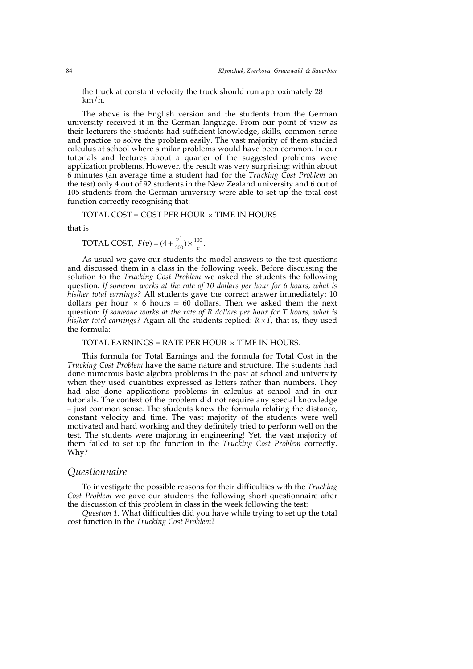the truck at constant velocity the truck should run approximately 28 km/h.

The above is the English version and the students from the German university received it in the German language. From our point of view as their lecturers the students had sufficient knowledge, skills, common sense and practice to solve the problem easily. The vast majority of them studied calculus at school where similar problems would have been common. In our tutorials and lectures about a quarter of the suggested problems were application problems. However, the result was very surprising: within about 6 minutes (an average time a student had for the *Trucking Cost Problem* on the test) only 4 out of 92 students in the New Zealand university and 6 out of 105 students from the German university were able to set up the total cost function correctly recognising that:

TOTAL COST = COST PER HOUR  $\times$  TIME IN HOURS

that is

$$
TOTAL COST, F(v) = (4 + \frac{v^2}{200}) \times \frac{100}{v}.
$$

As usual we gave our students the model answers to the test questions and discussed them in a class in the following week. Before discussing the solution to the *Trucking Cost Problem* we asked the students the following question: *If someone works at the rate of 10 dollars per hour for 6 hours, what is his/her total earnings?* All students gave the correct answer immediately: 10 dollars per hour  $\times$  6 hours = 60 dollars. Then we asked them the next question: *If someone works at the rate of R dollars per hour for T hours, what is his/her total earnings?* Again all the students replied:  $R \times T$ , that is, they used the formula:

#### TOTAL EARNINGS = RATE PER HOUR  $\times$  TIME IN HOURS.

This formula for Total Earnings and the formula for Total Cost in the *Trucking Cost Problem* have the same nature and structure. The students had done numerous basic algebra problems in the past at school and university when they used quantities expressed as letters rather than numbers. They had also done applications problems in calculus at school and in our tutorials. The context of the problem did not require any special knowledge – just common sense. The students knew the formula relating the distance, constant velocity and time. The vast majority of the students were well motivated and hard working and they definitely tried to perform well on the test. The students were majoring in engineering! Yet, the vast majority of them failed to set up the function in the *Trucking Cost Problem* correctly. Why?

## *Questionnaire*

To investigate the possible reasons for their difficulties with the *Trucking Cost Problem* we gave our students the following short questionnaire after the discussion of this problem in class in the week following the test:

*Question 1.* What difficulties did you have while trying to set up the total cost function in the *Trucking Cost Problem*?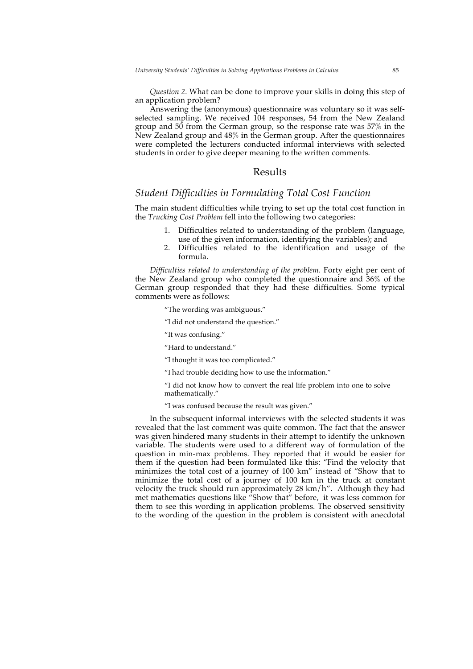*Question 2.* What can be done to improve your skills in doing this step of an application problem?

Answering the (anonymous) questionnaire was voluntary so it was selfselected sampling. We received 104 responses, 54 from the New Zealand group and 50 from the German group, so the response rate was 57% in the New Zealand group and 48% in the German group. After the questionnaires were completed the lecturers conducted informal interviews with selected students in order to give deeper meaning to the written comments.

#### Results

#### *Student Difficulties in Formulating Total Cost Function*

The main student difficulties while trying to set up the total cost function in the *Trucking Cost Problem* fell into the following two categories:

- 1. Difficulties related to understanding of the problem (language, use of the given information, identifying the variables); and
- 2. Difficulties related to the identification and usage of the formula.

*Difficulties related to understanding of the problem.* Forty eight per cent of the New Zealand group who completed the questionnaire and 36% of the German group responded that they had these difficulties. Some typical comments were as follows:

"The wording was ambiguous."

- "I did not understand the question."
- "It was confusing."
- "Hard to understand."
- "I thought it was too complicated."
- "I had trouble deciding how to use the information."

"I did not know how to convert the real life problem into one to solve mathematically."

"I was confused because the result was given."

In the subsequent informal interviews with the selected students it was revealed that the last comment was quite common. The fact that the answer was given hindered many students in their attempt to identify the unknown variable. The students were used to a different way of formulation of the question in min-max problems. They reported that it would be easier for them if the question had been formulated like this: "Find the velocity that minimizes the total cost of a journey of 100 km" instead of "Show that to minimize the total cost of a journey of 100 km in the truck at constant velocity the truck should run approximately 28 km/h". Although they had met mathematics questions like "Show that" before, it was less common for them to see this wording in application problems. The observed sensitivity to the wording of the question in the problem is consistent with anecdotal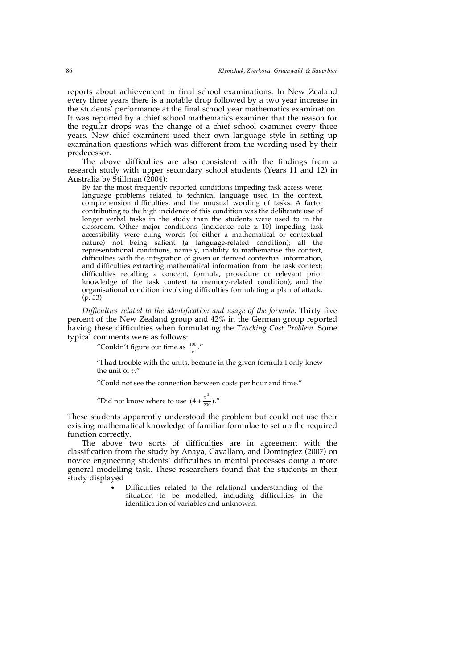reports about achievement in final school examinations. In New Zealand every three years there is a notable drop followed by a two year increase in the students' performance at the final school year mathematics examination. It was reported by a chief school mathematics examiner that the reason for the regular drops was the change of a chief school examiner every three years. New chief examiners used their own language style in setting up examination questions which was different from the wording used by their predecessor.

The above difficulties are also consistent with the findings from a research study with upper secondary school students (Years 11 and 12) in Australia by Stillman (2004):

By far the most frequently reported conditions impeding task access were: language problems related to technical language used in the context, comprehension difficulties, and the unusual wording of tasks. A factor contributing to the high incidence of this condition was the deliberate use of longer verbal tasks in the study than the students were used to in the classroom. Other major conditions (incidence rate  $\geq$  10) impeding task accessibility were cuing words (of either a mathematical or contextual nature) not being salient (a language-related condition); all the representational conditions, namely, inability to mathematise the context, difficulties with the integration of given or derived contextual information, and difficulties extracting mathematical information from the task context; difficulties recalling a concept, formula, procedure or relevant prior knowledge of the task context (a memory-related condition); and the organisational condition involving difficulties formulating a plan of attack. (p. 53)

*Difficulties related to the identification and usage of the formula*. Thirty five percent of the New Zealand group and 42% in the German group reported having these difficulties when formulating the *Trucking Cost Problem*. Some typical comments were as follows:

"Couldn't figure out time as  $\frac{100}{v}$ ."

"I had trouble with the units, because in the given formula I only knew the unit of *v.*"

"Could not see the connection between costs per hour and time."

"Did not know where to use  $(4 + \frac{v^2}{200})$ ."

These students apparently understood the problem but could not use their existing mathematical knowledge of familiar formulae to set up the required function correctly.

The above two sorts of difficulties are in agreement with the classification from the study by Anaya, Cavallaro, and Domingiez (2007) on novice engineering students' difficulties in mental processes doing a more general modelling task. These researchers found that the students in their study displayed

> Difficulties related to the relational understanding of the situation to be modelled, including difficulties in the identification of variables and unknowns.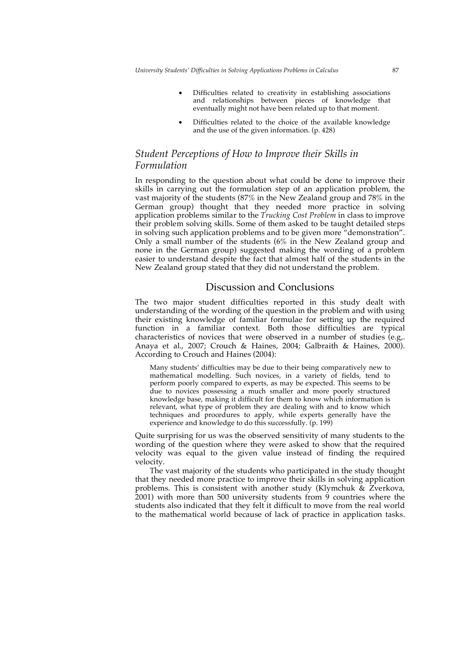- Difficulties related to creativity in establishing associations and relationships between pieces of knowledge that eventually might not have been related up to that moment.
- Difficulties related to the choice of the available knowledge and the use of the given information. (p. 428)

### *Student Perceptions of How to Improve their Skills in Formulation*

In responding to the question about what could be done to improve their skills in carrying out the formulation step of an application problem, the vast majority of the students (87% in the New Zealand group and 78% in the German group) thought that they needed more practice in solving application problems similar to the *Trucking Cost Problem* in class to improve their problem solving skills. Some of them asked to be taught detailed steps in solving such application problems and to be given more "demonstration". Only a small number of the students (6% in the New Zealand group and none in the German group) suggested making the wording of a problem easier to understand despite the fact that almost half of the students in the New Zealand group stated that they did not understand the problem.

#### Discussion and Conclusions

The two major student difficulties reported in this study dealt with understanding of the wording of the question in the problem and with using their existing knowledge of familiar formulae for setting up the required function in a familiar context. Both those difficulties are typical characteristics of novices that were observed in a number of studies (e.g,. Anaya et al., 2007; Crouch & Haines, 2004; Galbraith & Haines, 2000). According to Crouch and Haines (2004):

Many students' difficulties may be due to their being comparatively new to mathematical modelling. Such novices, in a variety of fields, tend to perform poorly compared to experts, as may be expected. This seems to be due to novices possessing a much smaller and more poorly structured knowledge base, making it difficult for them to know which information is relevant, what type of problem they are dealing with and to know which techniques and procedures to apply, while experts generally have the experience and knowledge to do this successfully. (p. 199)

Quite surprising for us was the observed sensitivity of many students to the wording of the question where they were asked to show that the required velocity was equal to the given value instead of finding the required velocity.

The vast majority of the students who participated in the study thought that they needed more practice to improve their skills in solving application problems. This is consistent with another study (Klymchuk  $\&$  Zverkova, 2001) with more than 500 university students from 9 countries where the students also indicated that they felt it difficult to move from the real world to the mathematical world because of lack of practice in application tasks.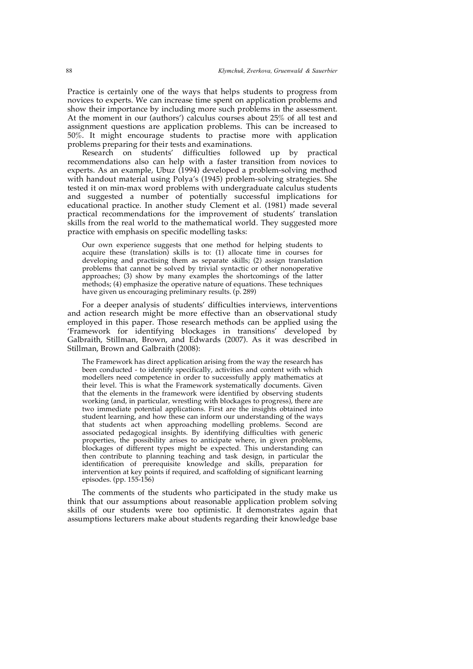Practice is certainly one of the ways that helps students to progress from novices to experts. We can increase time spent on application problems and show their importance by including more such problems in the assessment. At the moment in our (authors') calculus courses about 25% of all test and assignment questions are application problems. This can be increased to 50%. It might encourage students to practise more with application problems preparing for their tests and examinations.

Research on students' difficulties followed up by practical recommendations also can help with a faster transition from novices to experts. As an example, Ubuz (1994) developed a problem-solving method with handout material using Polya's (1945) problem-solving strategies. She tested it on min-max word problems with undergraduate calculus students and suggested a number of potentially successful implications for educational practice. In another study Clement et al. (1981) made several practical recommendations for the improvement of students' translation skills from the real world to the mathematical world. They suggested more practice with emphasis on specific modelling tasks:

Our own experience suggests that one method for helping students to acquire these (translation) skills is to: (1) allocate time in courses for developing and practising them as separate skills; (2) assign translation problems that cannot be solved by trivial syntactic or other nonoperative approaches; (3) show by many examples the shortcomings of the latter methods; (4) emphasize the operative nature of equations. These techniques have given us encouraging preliminary results. (p. 289)

For a deeper analysis of students' difficulties interviews, interventions and action research might be more effective than an observational study employed in this paper. Those research methods can be applied using the 'Framework for identifying blockages in transitions' developed by Galbraith, Stillman, Brown, and Edwards (2007). As it was described in Stillman, Brown and Galbraith (2008):

The Framework has direct application arising from the way the research has been conducted - to identify specifically, activities and content with which modellers need competence in order to successfully apply mathematics at their level. This is what the Framework systematically documents. Given that the elements in the framework were identified by observing students working (and, in particular, wrestling with blockages to progress), there are two immediate potential applications. First are the insights obtained into student learning, and how these can inform our understanding of the ways that students act when approaching modelling problems. Second are associated pedagogical insights. By identifying difficulties with generic properties, the possibility arises to anticipate where, in given problems, blockages of different types might be expected. This understanding can then contribute to planning teaching and task design, in particular the identification of prerequisite knowledge and skills, preparation for intervention at key points if required, and scaffolding of significant learning episodes. (pp. 155-156)

The comments of the students who participated in the study make us think that our assumptions about reasonable application problem solving skills of our students were too optimistic. It demonstrates again that assumptions lecturers make about students regarding their knowledge base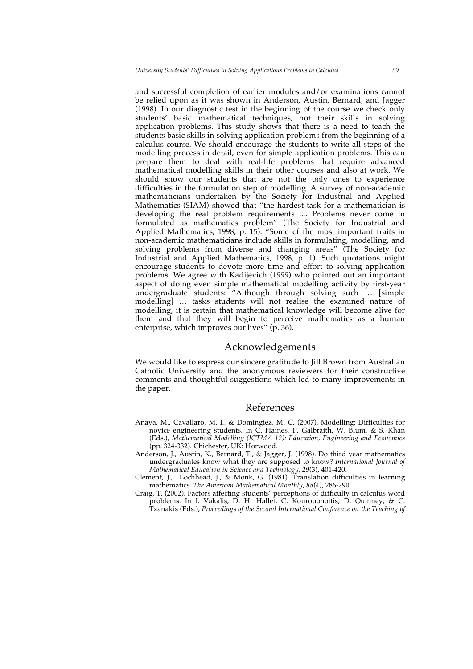and successful completion of earlier modules and/or examinations cannot be relied upon as it was shown in Anderson, Austin, Bernard, and Jagger (1998). In our diagnostic test in the beginning of the course we check only students' basic mathematical techniques, not their skills in solving application problems. This study shows that there is a need to teach the students basic skills in solving application problems from the beginning of a calculus course. We should encourage the students to write all steps of the modelling process in detail, even for simple application problems. This can prepare them to deal with real-life problems that require advanced mathematical modelling skills in their other courses and also at work. We should show our students that are not the only ones to experience difficulties in the formulation step of modelling. A survey of non-academic mathematicians undertaken by the Society for Industrial and Applied Mathematics (SIAM) showed that "the hardest task for a mathematician is developing the real problem requirements .... Problems never come in formulated as mathematics problem" (The Society for Industrial and Applied Mathematics, 1998, p. 15). "Some of the most important traits in non-academic mathematicians include skills in formulating, modelling, and solving problems from diverse and changing areas" (The Society for Industrial and Applied Mathematics, 1998, p. 1). Such quotations might encourage students to devote more time and effort to solving application problems. We agree with Kadijevich (1999) who pointed out an important aspect of doing even simple mathematical modelling activity by first-year undergraduate students: "Although through solving such … [simple modelling] ... tasks students will not realise the examined nature of modelling, it is certain that mathematical knowledge will become alive for them and that they will begin to perceive mathematics as a human enterprise, which improves our lives" (p. 36).

# Acknowledgements

We would like to express our sincere gratitude to Jill Brown from Australian Catholic University and the anonymous reviewers for their constructive comments and thoughtful suggestions which led to many improvements in the paper.

#### References

- Anaya, M., Cavallaro, M. I., & Domingiez, M. C. (2007). Modelling: Difficulties for novice engineering students. In C. Haines, P. Galbraith, W. Blum, & S. Khan (Eds.), *Mathematical Modelling (ICTMA 12): Education, Engineering and Economics* (pp. 324-332). Chichester, UK: Horwood.
- Anderson, J., Austin, K., Bernard, T., & Jagger, J. (1998). Do third year mathematics undergraduates know what they are supposed to know? *International Journal of Mathematical Education in Science and Technology, 29*(3), 401-420.
- Clement, J., Lochhead, J., & Monk, G. (1981). Translation difficulties in learning mathematics. *The American Mathematical Monthly, 88*(4), 286-290.
- Craig, T. (2002). Factors affecting students' perceptions of difficulty in calculus word problems. In I. Vakalis, D. H. Hallet, C. Kourouonoitis, D. Quinney, & C. Tzanakis (Eds.), *Proceedings of the Second International Conference on the Teaching of*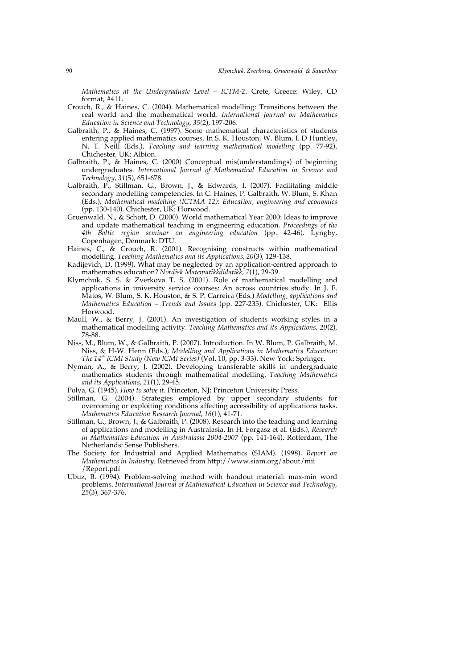*Mathematics at the Undergraduate Level – ICTM-2*. Crete, Greece: Wiley, CD format, #411.

- Crouch, R., & Haines, C. (2004). Mathematical modelling: Transitions between the real world and the mathematical world. *International Journal on Mathematics Education in Science and Technology, 35(*2), 197-206.
- Galbraith, P., & Haines, C. (1997). Some mathematical characteristics of students entering applied mathematics courses. In S. K. Houston, W. Blum, I. D Huntley, N. T. Neill (Eds.), *Teaching and learning mathematical modelling* (pp. 77-92). Chichester, UK: Albion.
- Galbraith, P., & Haines, C. (2000) Conceptual mis(understandings) of beginning undergraduates. *International Journal of Mathematical Education in Science and Technology, 31*(5), 651-678.
- Galbraith, P., Stillman, G., Brown, J., & Edwards, I. (2007). Facilitating middle secondary modelling competencies. In C. Haines, P. Galbraith, W. Blum, S. Khan (Eds.), *Mathematical modelling (ICTMA 12): Education, engineering and economics* (pp. 130-140). Chichester, UK: Horwood.
- Gruenwald, N., & Schott, D. (2000). World mathematical Year 2000: Ideas to improve and update mathematical teaching in engineering education. *Proceedings of the 4th Baltic region seminar on engineering education* (pp. 42-46). Lyngby, Copenhagen, Denmark: DTU.
- Haines, C., & Crouch, R. (2001). Recognising constructs within mathematical modelling. *Teaching Mathematics and its Applications*, *20*(3), 129-138.
- Kadijevich, D. (1999). What may be neglected by an application-centred approach to mathematics education? *Nordisk Matematikkdidatikk, 7*(1), 29-39.
- Klymchuk, S. S. & Zverkova T. S. (2001). Role of mathematical modelling and applications in university service courses: An across countries study. In J. F. Matos, W. Blum, S. K. Houston, & S. P. Carreira (Eds.) *Modelling, applications and Mathematics Education – Trends and Issues* (pp. 227-235). Chichester, UK: Ellis Horwood.
- Maull, W., & Berry, J. (2001). An investigation of students working styles in a mathematical modelling activity. *Teaching Mathematics and its Applications*, *20*(2), 78-88.
- Niss, M., Blum, W., & Galbraith, P. (2007). Introduction. In W. Blum, P. Galbraith, M. Niss, & H-W. Henn (Eds.), *Modelling and Applications in Mathematics Education: The 14th ICMI Study (New ICMI Series)* (Vol. 10, pp. 3-33). New York: Springer.
- Nyman, A., & Berry, J. (2002). Developing transferable skills in undergraduate mathematics students through mathematical modelling. *Teaching Mathematics and its Applications*, *21*(1), 29-45.
- Polya, G. (1945). *How to solve it.* Princeton, NJ: Princeton University Press.
- Stillman, G. (2004). Strategies employed by upper secondary students for overcoming or exploiting conditions affecting accessibility of applications tasks. *Mathematics Education Research Journal*, *16*(1), 41-71.
- Stillman, G., Brown, J., & Galbraith, P. (2008). Research into the teaching and learning of applications and modelling in Australasia. In H. Forgasz et al. (Eds.), *Research in Mathematics Education in Australasia 2004-2007* (pp. 141-164). Rotterdam, The Netherlands: Sense Publishers.
- The Society for Industrial and Applied Mathematics (SIAM). (1998). *Report on Mathematics in Industry*. Retrieved from http://www.siam.org/about/mii /Report.pdf
- Ubuz, B. (1994). Problem-solving method with handout material: max-min word problems. *International Journal of Mathematical Education in Science and Technology*, *25*(3), 367-376.